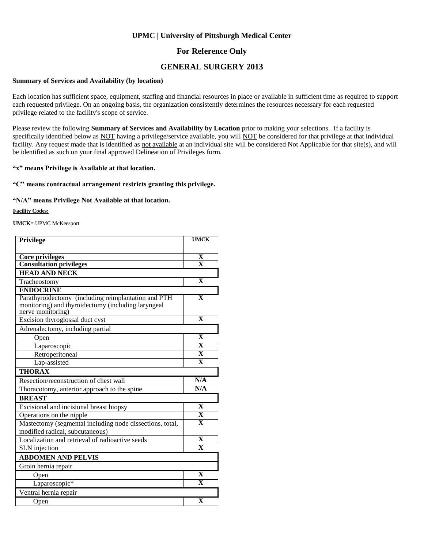### **For Reference Only**

### **GENERAL SURGERY 2013**

#### **Summary of Services and Availability (by location)**

Each location has sufficient space, equipment, staffing and financial resources in place or available in sufficient time as required to support each requested privilege. On an ongoing basis, the organization consistently determines the resources necessary for each requested privilege related to the facility's scope of service.

Please review the following **Summary of Services and Availability by Location** prior to making your selections. If a facility is specifically identified below as NOT having a privilege/service available, you will NOT be considered for that privilege at that individual facility. Any request made that is identified as not available at an individual site will be considered Not Applicable for that site(s), and will be identified as such on your final approved Delineation of Privileges form.

### **"x" means Privilege is Available at that location.**

### **"C" means contractual arrangement restricts granting this privilege.**

### **"N/A" means Privilege Not Available at that location.**

**Facility Codes:**

**UMCK**= UPMC McKeesport

| Privilege                                                                                                                      | <b>UMCK</b>             |
|--------------------------------------------------------------------------------------------------------------------------------|-------------------------|
|                                                                                                                                |                         |
| <b>Core privileges</b>                                                                                                         | X                       |
| <b>Consultation privileges</b>                                                                                                 | $\overline{\mathbf{X}}$ |
| <b>HEAD AND NECK</b>                                                                                                           |                         |
| Tracheostomy                                                                                                                   | $\overline{\mathbf{X}}$ |
| <b>ENDOCRINE</b>                                                                                                               |                         |
| Parathyroidectomy (including reimplantation and PTH<br>monitoring) and thyroidectomy (including laryngeal<br>nerve monitoring) | $\overline{\mathbf{X}}$ |
| Excision thyroglossal duct cyst                                                                                                | $\mathbf{x}$            |
| Adrenalectomy, including partial                                                                                               |                         |
| Open                                                                                                                           | $\mathbf{X}$            |
| Laparoscopic                                                                                                                   | $\overline{\mathbf{X}}$ |
| Retroperitoneal                                                                                                                | $\overline{\mathbf{X}}$ |
| Lap-assisted                                                                                                                   | $\mathbf{x}$            |
| <b>THORAX</b>                                                                                                                  |                         |
| Resection/reconstruction of chest wall                                                                                         | N/A                     |
| Thoracotomy, anterior approach to the spine                                                                                    | N/A                     |
| <b>BREAST</b>                                                                                                                  |                         |
| Excisional and incisional breast biopsy                                                                                        | $\mathbf{x}$            |
| Operations on the nipple                                                                                                       | $\overline{\mathbf{X}}$ |
| Mastectomy (segmental including node dissections, total,<br>modified radical, subcutaneous)                                    | $\overline{\mathbf{X}}$ |
| Localization and retrieval of radioactive seeds                                                                                | $\overline{\mathbf{X}}$ |
| <b>SLN</b> injection                                                                                                           | $\overline{\mathbf{X}}$ |
| <b>ABDOMEN AND PELVIS</b>                                                                                                      |                         |
| Groin hernia repair                                                                                                            |                         |
| Open                                                                                                                           | $\overline{\mathbf{X}}$ |
| Laparoscopic*                                                                                                                  | $\mathbf{x}$            |
| Ventral hernia repair                                                                                                          |                         |
| Open                                                                                                                           | $\mathbf X$             |
|                                                                                                                                |                         |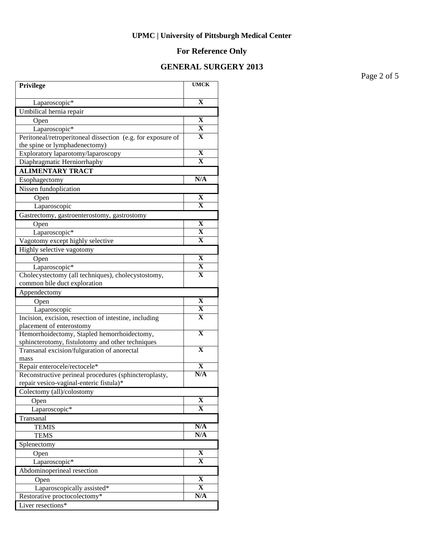# **For Reference Only**

## **GENERAL SURGERY 2013**

Page 2 of 5

| Privilege                                                   | <b>UMCK</b>             |
|-------------------------------------------------------------|-------------------------|
| Laparoscopic*                                               | $\overline{\mathbf{X}}$ |
| Umbilical hernia repair                                     |                         |
| Open                                                        | X                       |
| Laparoscopic*                                               | $\bf{X}$                |
| Peritoneal/retroperitoneal dissection (e.g. for exposure of | x                       |
| the spine or lymphadenectomy)                               |                         |
| Exploratory laparotomy/laparoscopy                          | X                       |
| Diaphragmatic Herniorrhaphy                                 | $\overline{\mathbf{X}}$ |
| <b>ALIMENTARY TRACT</b>                                     |                         |
| Esophagectomy                                               | N/A                     |
| Nissen fundoplication                                       |                         |
| Open                                                        | X                       |
| Laparoscopic                                                | $\mathbf X$             |
| Gastrectomy, gastroenterostomy, gastrostomy                 |                         |
| Open                                                        | $\overline{\textbf{X}}$ |
| Laparoscopic*                                               | $\overline{\mathbf{X}}$ |
| Vagotomy except highly selective                            | x                       |
| Highly selective vagotomy                                   |                         |
| Open                                                        | $\overline{\mathbf{X}}$ |
| Laparoscopic*                                               | $\overline{\mathbf{X}}$ |
| Cholecystectomy (all techniques), cholecystostomy,          | $\overline{\mathbf{X}}$ |
| common bile duct exploration                                |                         |
| Appendectomy                                                |                         |
| Open                                                        | X                       |
| Laparoscopic                                                | X                       |
| Incision, excision, resection of intestine, including       | $\overline{\mathbf{X}}$ |
| placement of enterostomy                                    |                         |
| Hemorrhoidectomy, Stapled hemorrhoidectomy,                 | $\mathbf X$             |
| sphincterotomy, fistulotomy and other techniques            | $\overline{\mathbf{X}}$ |
| Transanal excision/fulguration of anorectal<br>mass         |                         |
| Repair enterocele/rectocele*                                | X                       |
| Reconstructive perineal procedures (sphincteroplasty,       | N/A                     |
| repair vesico-vaginal-enteric fistula)*                     |                         |
| Colectomy (all)/colostomy                                   |                         |
| Open                                                        | X                       |
| Laparoscopic <sup>*</sup>                                   | $\mathbf X$             |
| Transanal                                                   |                         |
| <b>TEMIS</b>                                                | N/A                     |
| <b>TEMS</b>                                                 | N/A                     |
| Splenectomy                                                 |                         |
| Open                                                        | X                       |
| Laparoscopic*                                               | X                       |
| Abdominoperineal resection                                  |                         |
| Open                                                        | $\overline{\mathbf{X}}$ |
| Laparoscopically assisted*                                  | X                       |
| Restorative proctocolectomy*                                | N/A                     |
| Liver resections*                                           |                         |
|                                                             |                         |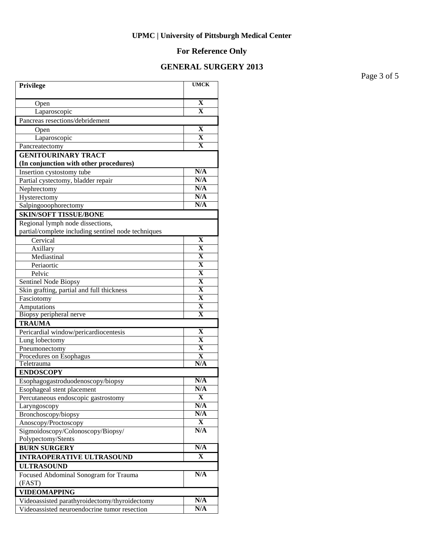# **For Reference Only**

## **GENERAL SURGERY 2013**

Page 3 of 5

| Privilege                                                            | <b>UMCK</b>             |
|----------------------------------------------------------------------|-------------------------|
| Open                                                                 | $\mathbf X$             |
| Laparoscopic                                                         | $\mathbf{X}$            |
| Pancreas resections/debridement                                      |                         |
| Open                                                                 | X                       |
| Laparoscopic                                                         | $\mathbf X$             |
| Pancreatectomy                                                       | $\overline{\mathbf{X}}$ |
| <b>GENITOURINARY TRACT</b><br>(In conjunction with other procedures) |                         |
| Insertion cystostomy tube                                            | N/A                     |
| Partial cystectomy, bladder repair                                   | N/A                     |
| Nephrectomy                                                          | N/A                     |
| Hysterectomy                                                         | N/A                     |
| Salpingooophorectomy                                                 | N/A                     |
| <b>SKIN/SOFT TISSUE/BONE</b>                                         |                         |
| Regional lymph node dissections,                                     |                         |
| partial/complete including sentinel node techniques                  |                         |
| Cervical                                                             | $\mathbf X$             |
| Axillary                                                             | $\overline{\mathbf{X}}$ |
| Mediastinal                                                          | $\overline{\mathbf{X}}$ |
| Periaortic                                                           | $\overline{\mathbf{X}}$ |
| Pelvic                                                               | $\overline{\mathbf{X}}$ |
| Sentinel Node Biopsy                                                 | $\overline{\mathbf{X}}$ |
| Skin grafting, partial and full thickness                            | $\overline{\mathbf{X}}$ |
| Fasciotomy                                                           | $\overline{\mathbf{X}}$ |
| Amputations                                                          | $\overline{\mathbf{X}}$ |
| Biopsy peripheral nerve                                              | $\overline{\mathbf{X}}$ |
| <b>TRAUMA</b>                                                        |                         |
| Pericardial window/pericardiocentesis                                | $\mathbf X$             |
| Lung lobectomy                                                       | $\overline{\textbf{X}}$ |
| Pneumonectomy                                                        | $\overline{\textbf{X}}$ |
| Procedures on Esophagus<br>Teletrauma                                | $\mathbf X$<br>N/A      |
| <b>ENDOSCOPY</b>                                                     |                         |
|                                                                      | N/A                     |
| Esophagogastroduodenoscopy/biopsy<br>Esophageal stent placement      | N/A                     |
|                                                                      | $\mathbf X$             |
| Percutaneous endoscopic gastrostomy<br>Laryngoscopy                  | N/A                     |
| Bronchoscopy/biopsy                                                  | N/A                     |
| Anoscopy/Proctoscopy                                                 | X                       |
| Sigmoidoscopy/Colonoscopy/Biopsy/                                    | N/A                     |
| Polypectomy/Stents                                                   |                         |
| <b>BURN SURGERY</b>                                                  | N/A                     |
| <b>INTRAOPERATIVE ULTRASOUND</b>                                     | X                       |
| <b>ULTRASOUND</b>                                                    |                         |
| Focused Abdominal Sonogram for Trauma                                | N/A                     |
| (FAST)                                                               |                         |
| <b>VIDEOMAPPING</b>                                                  |                         |
| Videoassisted parathyroidectomy/thyroidectomy                        | N/A                     |
| Videoassisted neuroendocrine tumor resection                         | N/A                     |
|                                                                      |                         |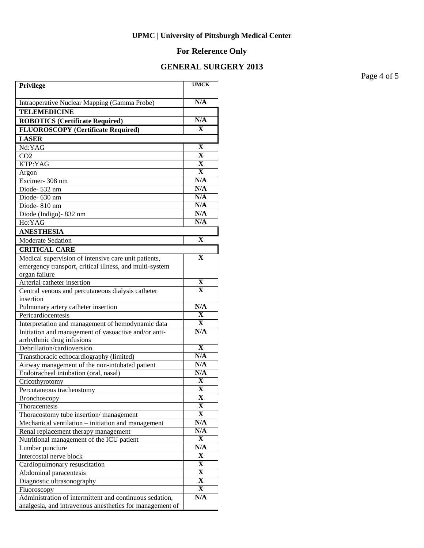# **For Reference Only**

## **GENERAL SURGERY 2013**

Page 4 of 5

| Privilege                                                                               | <b>UMCK</b>             |
|-----------------------------------------------------------------------------------------|-------------------------|
| Intraoperative Nuclear Mapping (Gamma Probe)                                            | N/A                     |
| <b>TELEMEDICINE</b>                                                                     |                         |
| <b>ROBOTICS (Certificate Required)</b>                                                  | N/A                     |
| <b>FLUOROSCOPY</b> (Certificate Required)                                               | $\mathbf x$             |
| <b>LASER</b>                                                                            |                         |
| Nd:YAG                                                                                  | $\mathbf X$             |
| CO <sub>2</sub>                                                                         | $\overline{\mathbf{X}}$ |
| KTP:YAG                                                                                 | $\overline{\mathbf{X}}$ |
| Argon                                                                                   | $\overline{\mathbf{X}}$ |
| Excimer-308 nm                                                                          | N/A                     |
| Diode-532 nm                                                                            | N/A                     |
| Diode-630 nm                                                                            | N/A                     |
| Diode-810 nm                                                                            | N/A                     |
| Diode (Indigo) - 832 nm                                                                 | N/A                     |
| Ho:YAG                                                                                  | N/A                     |
| <b>ANESTHESIA</b>                                                                       |                         |
| <b>Moderate Sedation</b>                                                                | $\mathbf X$             |
| <b>CRITICAL CARE</b>                                                                    |                         |
| Medical supervision of intensive care unit patients,                                    | $\mathbf X$             |
| emergency transport, critical illness, and multi-system                                 |                         |
| organ failure                                                                           |                         |
| Arterial catheter insertion                                                             | X                       |
| Central venous and percutaneous dialysis catheter                                       | $\mathbf{x}$            |
| insertion                                                                               |                         |
| Pulmonary artery catheter insertion                                                     | N/A                     |
| Pericardiocentesis                                                                      | $\mathbf X$             |
| Interpretation and management of hemodynamic data                                       | X                       |
| Initiation and management of vasoactive and/or anti-                                    | N/A                     |
| arrhythmic drug infusions                                                               |                         |
| Debrillation/cardioversion                                                              | $\mathbf X$<br>N/A      |
| Transthoracic echocardiography (limited)                                                | N/A                     |
| Airway management of the non-intubated patient<br>Endotracheal intubation (oral, nasal) | N/A                     |
| Cricothyrotomy                                                                          | $\mathbf X$             |
|                                                                                         | $\overline{\mathbf{X}}$ |
| Percutaneous tracheostomy<br>Bronchoscopy                                               | X                       |
| Thoracentesis                                                                           | X                       |
| Thoracostomy tube insertion/management                                                  | X                       |
| Mechanical ventilation – initiation and management                                      | N/A                     |
| Renal replacement therapy management                                                    | N/A                     |
| Nutritional management of the ICU patient                                               | X                       |
| Lumbar puncture                                                                         | N/A                     |
| Intercostal nerve block                                                                 | X                       |
| Cardiopulmonary resuscitation                                                           | X                       |
| Abdominal paracentesis                                                                  | X                       |
| Diagnostic ultrasonography                                                              | X                       |
| Fluoroscopy                                                                             | X                       |
| Administration of intermittent and continuous sedation,                                 | N/A                     |
| analgesia, and intravenous anesthetics for management of                                |                         |